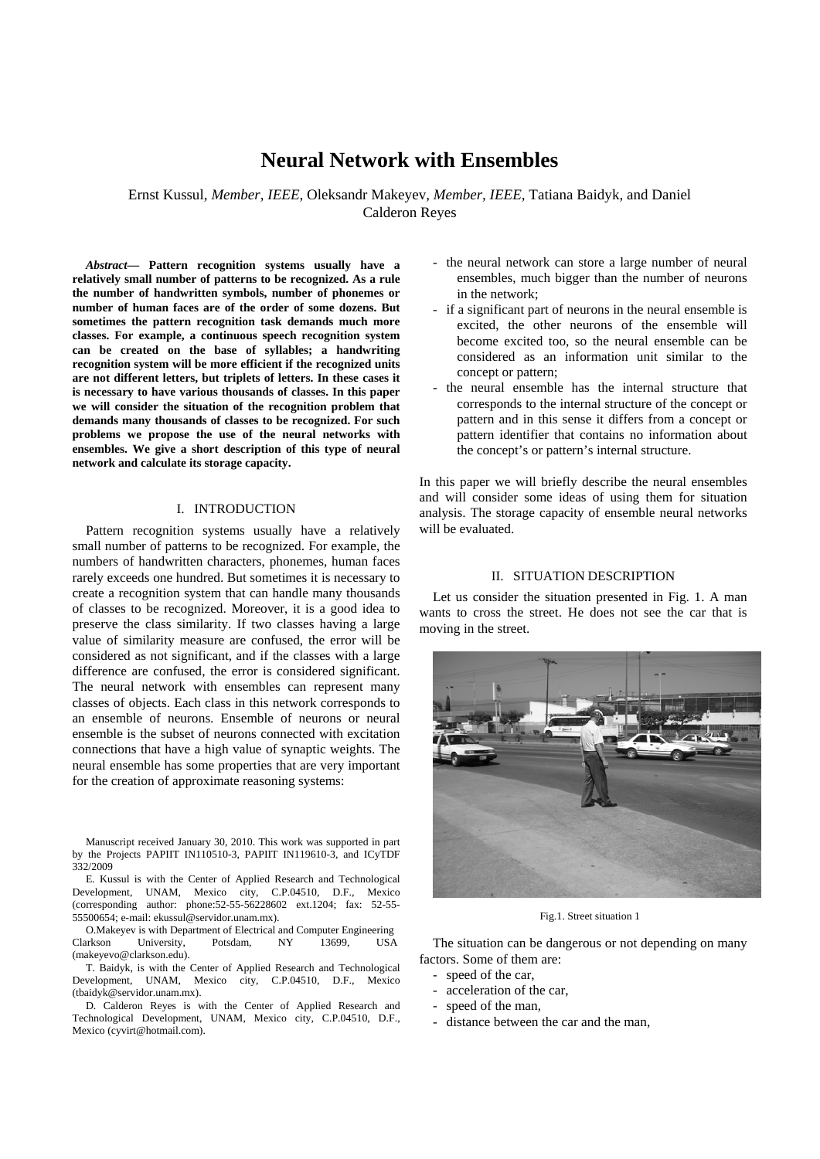# **Neural Network with Ensembles**

Ernst Kussul, *Member, IEEE*, Oleksandr Makeyev, *Member, IEEE*, Tatiana Baidyk, and Daniel Calderon Reyes

*Abstract***— Pattern recognition systems usually have a relatively small number of patterns to be recognized. As a rule the number of handwritten symbols, number of phonemes or number of human faces are of the order of some dozens. But sometimes the pattern recognition task demands much more classes. For example, a continuous speech recognition system can be created on the base of syllables; a handwriting recognition system will be more efficient if the recognized units are not different letters, but triplets of letters. In these cases it is necessary to have various thousands of classes. In this paper we will consider the situation of the recognition problem that demands many thousands of classes to be recognized. For such problems we propose the use of the neural networks with ensembles. We give a short description of this type of neural network and calculate its storage capacity.** 

## I. INTRODUCTION

Pattern recognition systems usually have a relatively small number of patterns to be recognized. For example, the numbers of handwritten characters, phonemes, human faces rarely exceeds one hundred. But sometimes it is necessary to create a recognition system that can handle many thousands of classes to be recognized. Moreover, it is a good idea to preserve the class similarity. If two classes having a large value of similarity measure are confused, the error will be considered as not significant, and if the classes with a large difference are confused, the error is considered significant. The neural network with ensembles can represent many classes of objects. Each class in this network corresponds to an ensemble of neurons. Ensemble of neurons or neural ensemble is the subset of neurons connected with excitation connections that have a high value of synaptic weights. The neural ensemble has some properties that are very important for the creation of approximate reasoning systems:

Manuscript received January 30, 2010. This work was supported in part by the Projects PAPIIT IN110510-3, PAPIIT IN119610-3, and ICyTDF 332/2009

E. Kussul is with the Center of Applied Research and Technological Development, UNAM, Mexico city, C.P.04510, D.F., Mexico (corresponding author: phone:52-55-56228602 ext.1204; fax: 52-55- 55500654; e-mail: ekussul@servidor.unam.mx).

O.Makeyev is with Department of Electrical and Computer Engineering Clarkson University, Potsdam, NY 13699, USA (makeyevo@clarkson.edu).

T. Baidyk, is with the Center of Applied Research and Technological Development, UNAM, Mexico city, C.P.04510, D.F., Mexico (tbaidyk@servidor.unam.mx).

D. Calderon Reyes is with the Center of Applied Research and Technological Development, UNAM, Mexico city, C.P.04510, D.F., Mexico (cyvirt@hotmail.com).

- the neural network can store a large number of neural ensembles, much bigger than the number of neurons in the network;
- if a significant part of neurons in the neural ensemble is excited, the other neurons of the ensemble will become excited too, so the neural ensemble can be considered as an information unit similar to the concept or pattern;
- the neural ensemble has the internal structure that corresponds to the internal structure of the concept or pattern and in this sense it differs from a concept or pattern identifier that contains no information about the concept's or pattern's internal structure.

In this paper we will briefly describe the neural ensembles and will consider some ideas of using them for situation analysis. The storage capacity of ensemble neural networks will be evaluated.

## II. SITUATION DESCRIPTION

Let us consider the situation presented in Fig. 1. A man wants to cross the street. He does not see the car that is moving in the street.



Fig.1. Street situation 1

The situation can be dangerous or not depending on many factors. Some of them are:

- speed of the car,
- acceleration of the car,
- speed of the man.
- distance between the car and the man,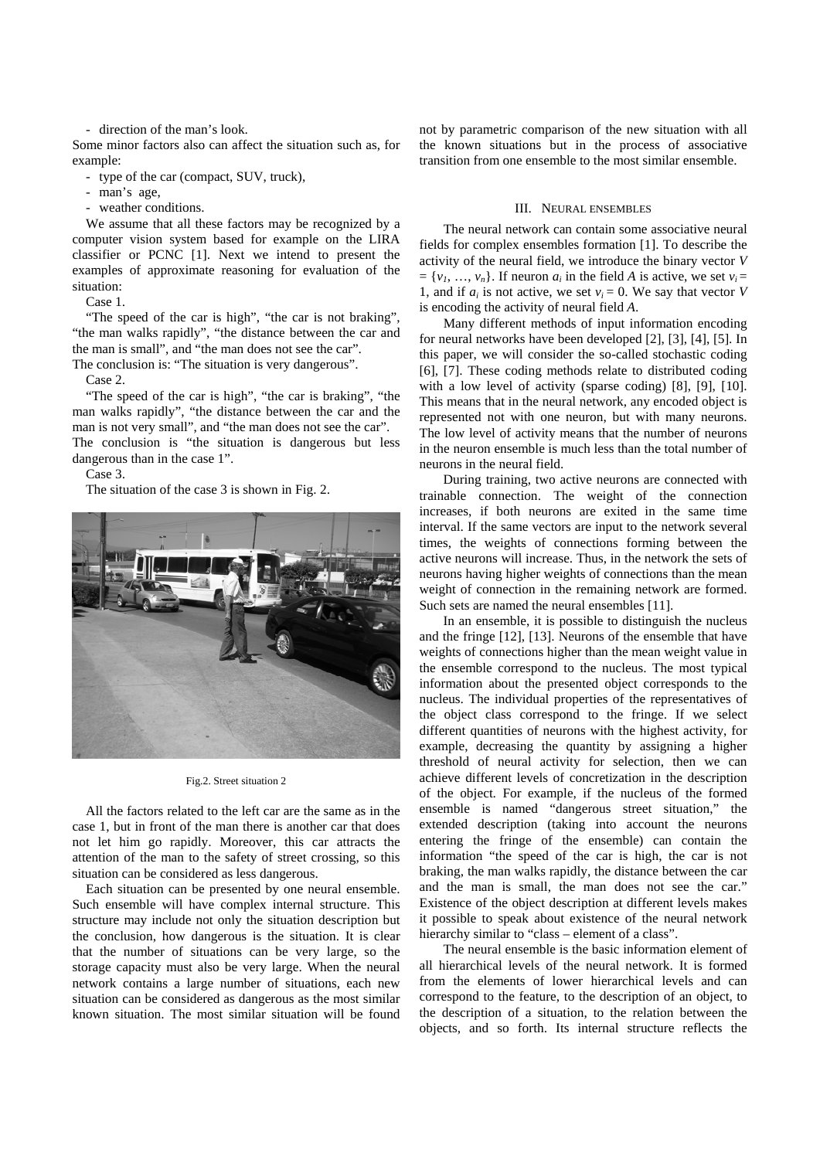- direction of the man's look.

Some minor factors also can affect the situation such as, for example:

- type of the car (compact, SUV, truck),
- man's age,
- weather conditions.

We assume that all these factors may be recognized by a computer vision system based for example on the LIRA classifier or PCNC [1]. Next we intend to present the examples of approximate reasoning for evaluation of the situation:

Case 1.

"The speed of the car is high", "the car is not braking", "the man walks rapidly", "the distance between the car and the man is small", and "the man does not see the car".

The conclusion is: "The situation is very dangerous".

Case 2.

 "The speed of the car is high", "the car is braking", "the man walks rapidly", "the distance between the car and the man is not very small", and "the man does not see the car". The conclusion is "the situation is dangerous but less dangerous than in the case 1".

Case 3.

The situation of the case 3 is shown in Fig. 2.



#### Fig.2. Street situation 2

All the factors related to the left car are the same as in the case 1, but in front of the man there is another car that does not let him go rapidly. Moreover, this car attracts the attention of the man to the safety of street crossing, so this situation can be considered as less dangerous.

 Each situation can be presented by one neural ensemble. Such ensemble will have complex internal structure. This structure may include not only the situation description but the conclusion, how dangerous is the situation. It is clear that the number of situations can be very large, so the storage capacity must also be very large. When the neural network contains a large number of situations, each new situation can be considered as dangerous as the most similar known situation. The most similar situation will be found not by parametric comparison of the new situation with all the known situations but in the process of associative transition from one ensemble to the most similar ensemble.

## III. NEURAL ENSEMBLES

The neural network can contain some associative neural fields for complex ensembles formation [1]. To describe the activity of the neural field, we introduce the binary vector *V*   $= \{v_1, \ldots, v_n\}$ . If neuron  $a_i$  in the field *A* is active, we set  $v_i =$ 1, and if  $a_i$  is not active, we set  $v_i = 0$ . We say that vector *V* is encoding the activity of neural field *A*.

Many different methods of input information encoding for neural networks have been developed [2], [3], [4], [5]. In this paper, we will consider the so-called stochastic coding [6], [7]. These coding methods relate to distributed coding with a low level of activity (sparse coding) [8], [9], [10]. This means that in the neural network, any encoded object is represented not with one neuron, but with many neurons. The low level of activity means that the number of neurons in the neuron ensemble is much less than the total number of neurons in the neural field.

During training, two active neurons are connected with trainable connection. The weight of the connection increases, if both neurons are exited in the same time interval. If the same vectors are input to the network several times, the weights of connections forming between the active neurons will increase. Thus, in the network the sets of neurons having higher weights of connections than the mean weight of connection in the remaining network are formed. Such sets are named the neural ensembles [11].

In an ensemble, it is possible to distinguish the nucleus and the fringe [12], [13]. Neurons of the ensemble that have weights of connections higher than the mean weight value in the ensemble correspond to the nucleus. The most typical information about the presented object corresponds to the nucleus. The individual properties of the representatives of the object class correspond to the fringe. If we select different quantities of neurons with the highest activity, for example, decreasing the quantity by assigning a higher threshold of neural activity for selection, then we can achieve different levels of concretization in the description of the object. For example, if the nucleus of the formed ensemble is named "dangerous street situation," the extended description (taking into account the neurons entering the fringe of the ensemble) can contain the information "the speed of the car is high, the car is not braking, the man walks rapidly, the distance between the car and the man is small, the man does not see the car." Existence of the object description at different levels makes it possible to speak about existence of the neural network hierarchy similar to "class – element of a class".

The neural ensemble is the basic information element of all hierarchical levels of the neural network. It is formed from the elements of lower hierarchical levels and can correspond to the feature, to the description of an object, to the description of a situation, to the relation between the objects, and so forth. Its internal structure reflects the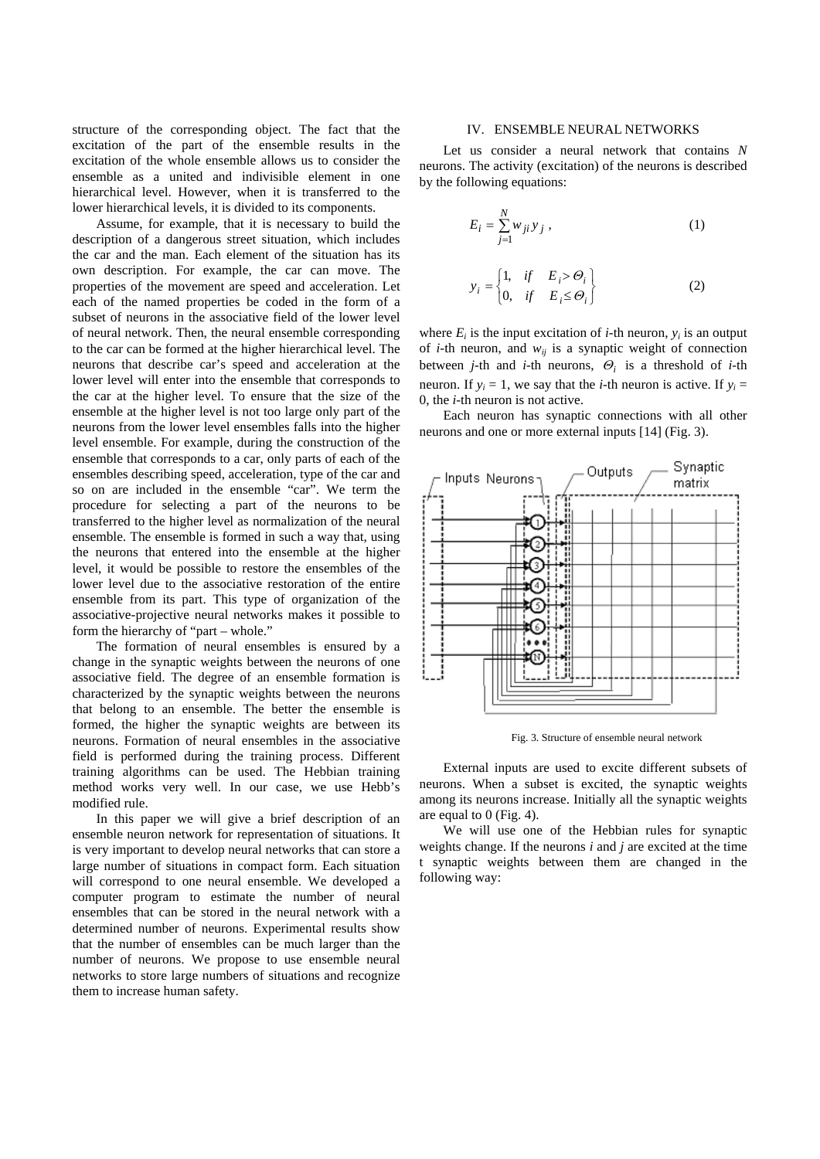structure of the corresponding object. The fact that the excitation of the part of the ensemble results in the excitation of the whole ensemble allows us to consider the ensemble as a united and indivisible element in one hierarchical level. However, when it is transferred to the lower hierarchical levels, it is divided to its components.

Assume, for example, that it is necessary to build the description of a dangerous street situation, which includes the car and the man. Each element of the situation has its own description. For example, the car can move. The properties of the movement are speed and acceleration. Let each of the named properties be coded in the form of a subset of neurons in the associative field of the lower level of neural network. Then, the neural ensemble corresponding to the car can be formed at the higher hierarchical level. The neurons that describe car's speed and acceleration at the lower level will enter into the ensemble that corresponds to the car at the higher level. To ensure that the size of the ensemble at the higher level is not too large only part of the neurons from the lower level ensembles falls into the higher level ensemble. For example, during the construction of the ensemble that corresponds to a car, only parts of each of the ensembles describing speed, acceleration, type of the car and so on are included in the ensemble "car". We term the procedure for selecting a part of the neurons to be transferred to the higher level as normalization of the neural ensemble. The ensemble is formed in such a way that, using the neurons that entered into the ensemble at the higher level, it would be possible to restore the ensembles of the lower level due to the associative restoration of the entire ensemble from its part. This type of organization of the associative-projective neural networks makes it possible to form the hierarchy of "part – whole."

The formation of neural ensembles is ensured by a change in the synaptic weights between the neurons of one associative field. The degree of an ensemble formation is characterized by the synaptic weights between the neurons that belong to an ensemble. The better the ensemble is formed, the higher the synaptic weights are between its neurons. Formation of neural ensembles in the associative field is performed during the training process. Different training algorithms can be used. The Hebbian training method works very well. In our case, we use Hebb's modified rule.

In this paper we will give a brief description of an ensemble neuron network for representation of situations. It is very important to develop neural networks that can store a large number of situations in compact form. Each situation will correspond to one neural ensemble. We developed a computer program to estimate the number of neural ensembles that can be stored in the neural network with a determined number of neurons. Experimental results show that the number of ensembles can be much larger than the number of neurons. We propose to use ensemble neural networks to store large numbers of situations and recognize them to increase human safety.

## IV. ENSEMBLE NEURAL NETWORKS

Let us consider a neural network that contains *N* neurons. The activity (excitation) of the neurons is described by the following equations:

$$
E_i = \sum_{j=1}^{N} w_{ji} y_j , \qquad (1)
$$

$$
y_i = \begin{cases} 1, & \text{if } E_i > \Theta_i \\ 0, & \text{if } E_i \le \Theta_i \end{cases}
$$
 (2)

where  $E_i$  is the input excitation of *i*-th neuron,  $y_i$  is an output of *i*-th neuron, and  $w_{ij}$  is a synaptic weight of connection between *j*-th and *i*-th neurons,  $\Theta_i$  is a threshold of *i*-th neuron. If  $y_i = 1$ , we say that the *i*-th neuron is active. If  $y_i =$ 0, the *i*-th neuron is not active.

Each neuron has synaptic connections with all other neurons and one or more external inputs [14] (Fig. 3).



Fig. 3. Structure of ensemble neural network

External inputs are used to excite different subsets of neurons. When a subset is excited, the synaptic weights among its neurons increase. Initially all the synaptic weights are equal to 0 (Fig. 4).

We will use one of the Hebbian rules for synaptic weights change. If the neurons *i* and *j* are excited at the time t synaptic weights between them are changed in the following way: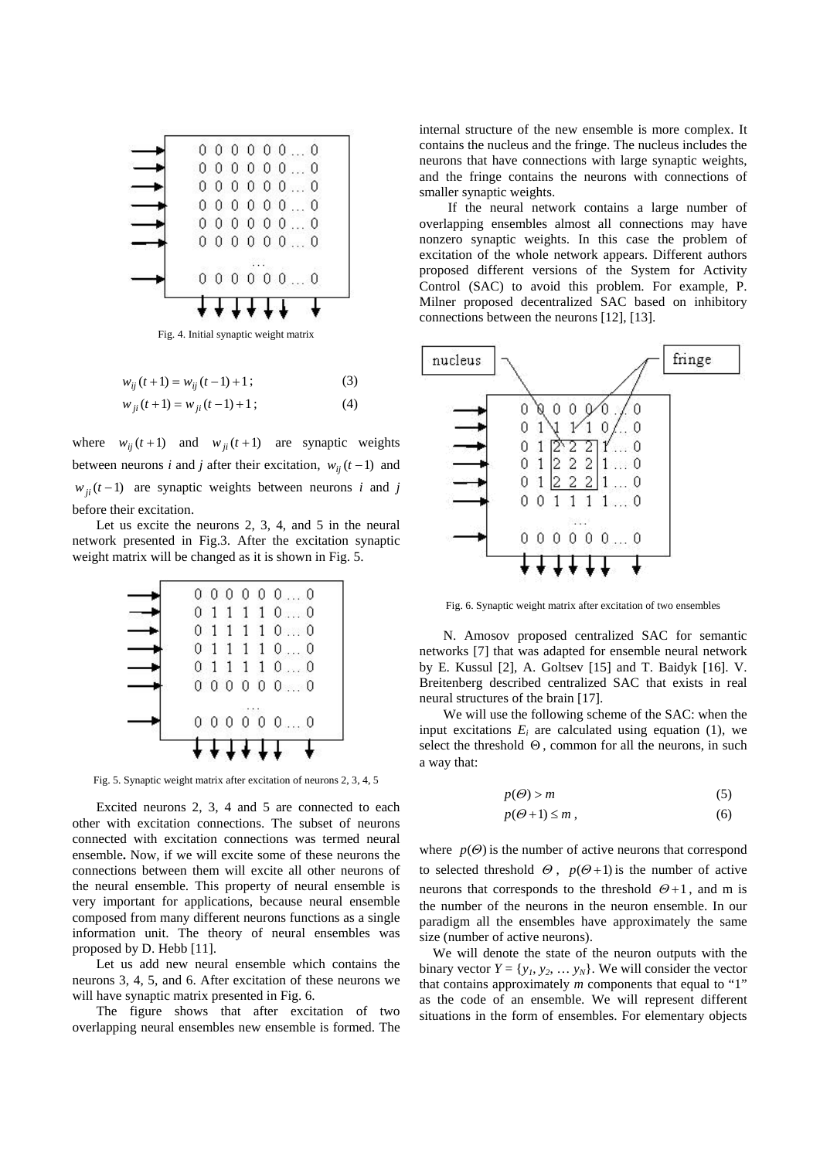

Fig. 4. Initial synaptic weight matrix

 $w_{ii}(t+1) = w_{ii}(t-1) + 1;$  (3)  $w_{ii}(t+1) = w_{ii}(t-1) + 1$ ; (4)

where  $w_{ij}(t+1)$  and  $w_{ji}(t+1)$  are synaptic weights between neurons *i* and *j* after their excitation,  $w_{ii}(t-1)$  and  $w_{ji}(t-1)$  are synaptic weights between neurons *i* and *j* before their excitation.

Let us excite the neurons 2, 3, 4, and 5 in the neural network presented in Fig.3. After the excitation synaptic weight matrix will be changed as it is shown in Fig. 5.



Fig. 5. Synaptic weight matrix after excitation of neurons 2, 3, 4, 5

Excited neurons 2, 3, 4 and 5 are connected to each other with excitation connections. The subset of neurons connected with excitation connections was termed neural ensemble**.** Now, if we will excite some of these neurons the connections between them will excite all other neurons of the neural ensemble. This property of neural ensemble is very important for applications, because neural ensemble composed from many different neurons functions as a single information unit. The theory of neural ensembles was proposed by D. Hebb [11].

Let us add new neural ensemble which contains the neurons 3, 4, 5, and 6. After excitation of these neurons we will have synaptic matrix presented in Fig. 6.

The figure shows that after excitation of two overlapping neural ensembles new ensemble is formed. The internal structure of the new ensemble is more complex. It contains the nucleus and the fringe. The nucleus includes the neurons that have connections with large synaptic weights, and the fringe contains the neurons with connections of smaller synaptic weights.

If the neural network contains a large number of overlapping ensembles almost all connections may have nonzero synaptic weights. In this case the problem of excitation of the whole network appears. Different authors proposed different versions of the System for Activity Control (SAC) to avoid this problem. For example, P. Milner proposed decentralized SAC based on inhibitory connections between the neurons [12], [13].



Fig. 6. Synaptic weight matrix after excitation of two ensembles

N. Amosov proposed centralized SAC for semantic networks [7] that was adapted for ensemble neural network by E. Kussul [2], A. Goltsev [15] and T. Baidyk [16]. V. Breitenberg described centralized SAC that exists in real neural structures of the brain [17].

We will use the following scheme of the SAC: when the input excitations  $E_i$  are calculated using equation (1), we select the threshold Θ , common for all the neurons, in such a way that:

$$
p(\Theta) > m \tag{5}
$$

$$
p(\Theta + 1) \le m \tag{6}
$$

where  $p(\Theta)$  is the number of active neurons that correspond to selected threshold  $\Theta$ ,  $p(\Theta+1)$  is the number of active neurons that corresponds to the threshold  $\Theta$ +1, and m is the number of the neurons in the neuron ensemble. In our paradigm all the ensembles have approximately the same size (number of active neurons).

 We will denote the state of the neuron outputs with the binary vector  $Y = \{y_1, y_2, \dots y_N\}$ . We will consider the vector that contains approximately *m* components that equal to "1" as the code of an ensemble. We will represent different situations in the form of ensembles. For elementary objects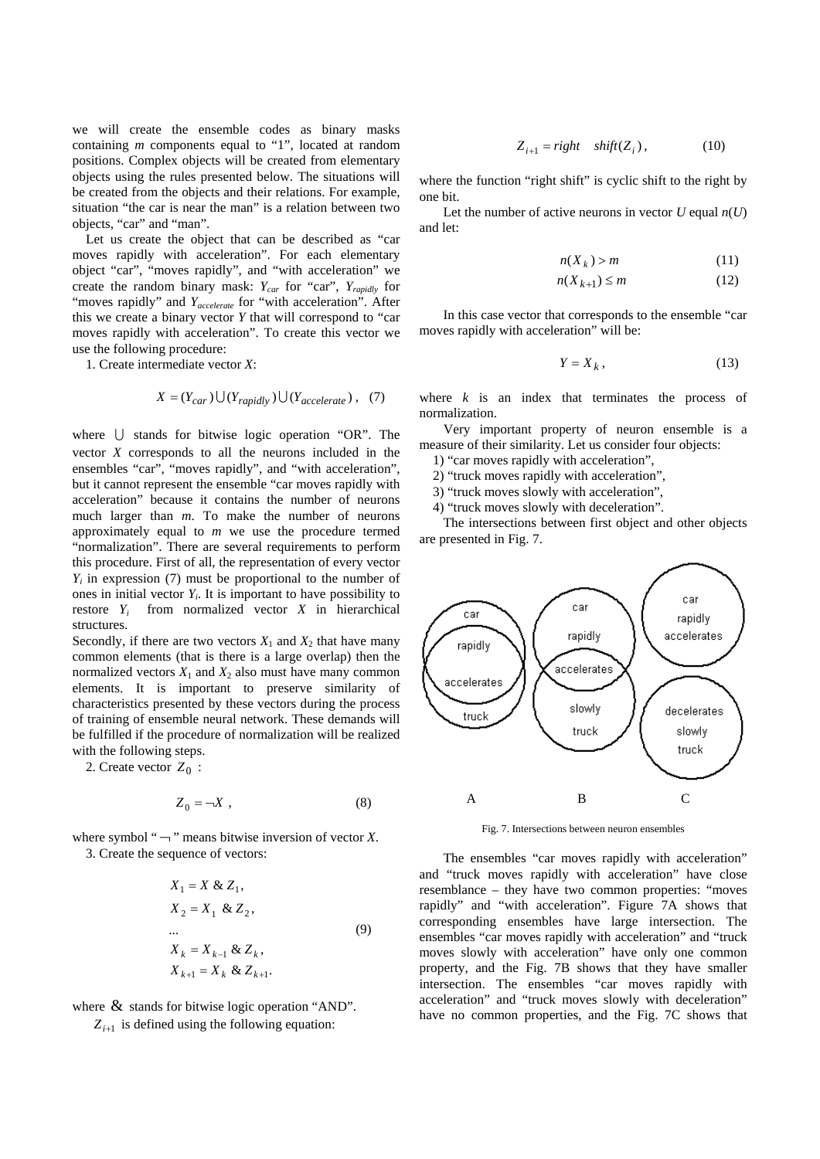we will create the ensemble codes as binary masks containing *m* components equal to "1", located at random positions. Complex objects will be created from elementary objects using the rules presented below. The situations will be created from the objects and their relations. For example, situation "the car is near the man" is a relation between two objects, "car" and "man".

 Let us create the object that can be described as "car moves rapidly with acceleration". For each elementary object "car", "moves rapidly", and "with acceleration" we create the random binary mask: *Ycar* for "car", *Yrapidly* for "moves rapidly" and *Y<sub>accelerate</sub>* for "with acceleration". After this we create a binary vector *Y* that will correspond to "car moves rapidly with acceleration". To create this vector we use the following procedure:

1. Create intermediate vector *X*:

$$
X = (Y_{car}) \cup (Y_{rapidly}) \cup (Y_{accelerate}) , \quad (7)
$$

where U stands for bitwise logic operation "OR". The vector *X* corresponds to all the neurons included in the ensembles "car", "moves rapidly", and "with acceleration", but it cannot represent the ensemble "car moves rapidly with acceleration" because it contains the number of neurons much larger than *m*. To make the number of neurons approximately equal to *m* we use the procedure termed "normalization". There are several requirements to perform this procedure. First of all, the representation of every vector  $Y_i$  in expression (7) must be proportional to the number of ones in initial vector  $Y_i$ . It is important to have possibility to restore  $Y_i$  from normalized vector  $X$  in hierarchical structures.

Secondly, if there are two vectors  $X_1$  and  $X_2$  that have many common elements (that is there is a large overlap) then the normalized vectors  $X_1$  and  $X_2$  also must have many common elements. It is important to preserve similarity of characteristics presented by these vectors during the process of training of ensemble neural network. These demands will be fulfilled if the procedure of normalization will be realized with the following steps.

2. Create vector  $Z_0$  :

$$
Z_0 = -X \t{,} \t(8)
$$

where symbol " $\neg$ " means bitwise inversion of vector *X*.

3. Create the sequence of vectors:

$$
X_1 = X & Z_1,
$$
\n
$$
X_2 = X_1 & Z_2,
$$
\n
$$
\dots
$$
\n
$$
X_k = X_{k-1} & Z_k,
$$
\n
$$
X_{k+1} = X_k & Z_{k+1}.
$$
\n(9)

where  $\&$  stands for bitwise logic operation "AND".

 $Z_{i+1}$  is defined using the following equation:

$$
Z_{i+1} = right \quad shift(Z_i), \tag{10}
$$

where the function "right shift" is cyclic shift to the right by one bit.

Let the number of active neurons in vector  $U$  equal  $n(U)$ and let:

$$
n(X_k) > m \tag{11}
$$

$$
n(X_{k+1}) \le m \tag{12}
$$

In this case vector that corresponds to the ensemble "car moves rapidly with acceleration" will be:

$$
Y = X_k, \tag{13}
$$

where *k* is an index that terminates the process of normalization.

Very important property of neuron ensemble is a measure of their similarity. Let us consider four objects:

1) "car moves rapidly with acceleration",

2) "truck moves rapidly with acceleration",

3) "truck moves slowly with acceleration",

4) "truck moves slowly with deceleration".

The intersections between first object and other objects are presented in Fig. 7.



Fig. 7. Intersections between neuron ensembles

The ensembles "car moves rapidly with acceleration" and "truck moves rapidly with acceleration" have close resemblance – they have two common properties: "moves rapidly" and "with acceleration". Figure 7A shows that corresponding ensembles have large intersection. The ensembles "car moves rapidly with acceleration" and "truck moves slowly with acceleration" have only one common property, and the Fig. 7B shows that they have smaller intersection. The ensembles "car moves rapidly with acceleration" and "truck moves slowly with deceleration" have no common properties, and the Fig. 7C shows that